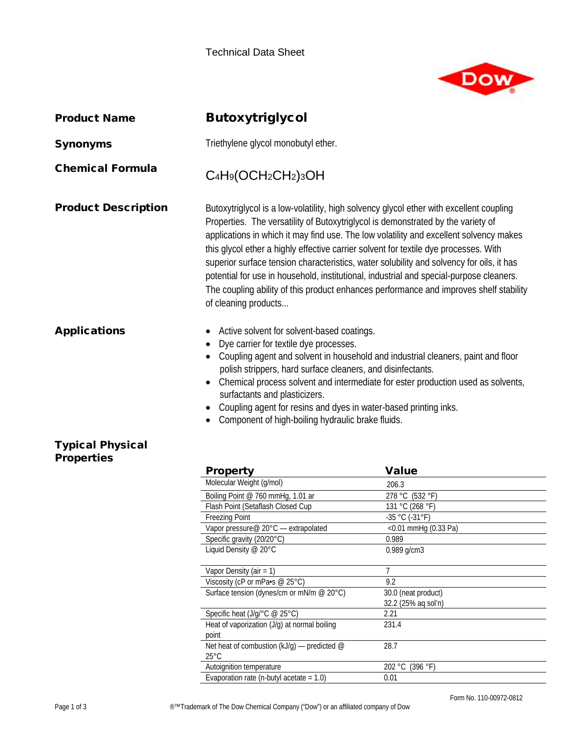

| <b>Product Name</b>                          | <b>Butoxytriglycol</b>                                                                                                                                                                                                                                                                                                                                                                                                                                                                                                                                                                                                                                                 |                                    |  |  |
|----------------------------------------------|------------------------------------------------------------------------------------------------------------------------------------------------------------------------------------------------------------------------------------------------------------------------------------------------------------------------------------------------------------------------------------------------------------------------------------------------------------------------------------------------------------------------------------------------------------------------------------------------------------------------------------------------------------------------|------------------------------------|--|--|
| <b>Synonyms</b>                              | Triethylene glycol monobutyl ether.                                                                                                                                                                                                                                                                                                                                                                                                                                                                                                                                                                                                                                    |                                    |  |  |
| <b>Chemical Formula</b>                      | C <sub>4</sub> H <sub>9</sub> (OCH <sub>2</sub> CH <sub>2</sub> ) <sub>3</sub> OH                                                                                                                                                                                                                                                                                                                                                                                                                                                                                                                                                                                      |                                    |  |  |
| <b>Product Description</b>                   | Butoxytriglycol is a low-volatility, high solvency glycol ether with excellent coupling<br>Properties. The versatility of Butoxytriglycol is demonstrated by the variety of<br>applications in which it may find use. The low volatility and excellent solvency makes<br>this glycol ether a highly effective carrier solvent for textile dye processes. With<br>superior surface tension characteristics, water solubility and solvency for oils, it has<br>potential for use in household, institutional, industrial and special-purpose cleaners.<br>The coupling ability of this product enhances performance and improves shelf stability<br>of cleaning products |                                    |  |  |
| <b>Applications</b>                          | Active solvent for solvent-based coatings.<br>٠<br>Dye carrier for textile dye processes.<br>$\bullet$<br>Coupling agent and solvent in household and industrial cleaners, paint and floor<br>polish strippers, hard surface cleaners, and disinfectants.<br>Chemical process solvent and intermediate for ester production used as solvents,<br>$\bullet$<br>surfactants and plasticizers.<br>Coupling agent for resins and dyes in water-based printing inks.<br>Component of high-boiling hydraulic brake fluids.                                                                                                                                                   |                                    |  |  |
| <b>Typical Physical</b><br><b>Properties</b> |                                                                                                                                                                                                                                                                                                                                                                                                                                                                                                                                                                                                                                                                        |                                    |  |  |
|                                              | <b>Property</b>                                                                                                                                                                                                                                                                                                                                                                                                                                                                                                                                                                                                                                                        | <b>Value</b>                       |  |  |
|                                              | Molecular Weight (g/mol)                                                                                                                                                                                                                                                                                                                                                                                                                                                                                                                                                                                                                                               | 206.3                              |  |  |
|                                              | Boiling Point @ 760 mmHg, 1.01 ar<br>Flash Point (Setaflash Closed Cup                                                                                                                                                                                                                                                                                                                                                                                                                                                                                                                                                                                                 | 278 °C (532 °F)<br>131 °C (268 °F) |  |  |
|                                              | <b>Freezing Point</b>                                                                                                                                                                                                                                                                                                                                                                                                                                                                                                                                                                                                                                                  | $-35 °C (-31 °F)$                  |  |  |
|                                              | Vapor pressure@ 20°C - extrapolated                                                                                                                                                                                                                                                                                                                                                                                                                                                                                                                                                                                                                                    | $<$ 0.01 mmHg (0.33 Pa)            |  |  |
|                                              | Specific gravity (20/20°C)                                                                                                                                                                                                                                                                                                                                                                                                                                                                                                                                                                                                                                             | 0.989                              |  |  |
|                                              | Liquid Density @ 20°C                                                                                                                                                                                                                                                                                                                                                                                                                                                                                                                                                                                                                                                  | 0.989 g/cm3                        |  |  |
|                                              | Vapor Density (air = 1)                                                                                                                                                                                                                                                                                                                                                                                                                                                                                                                                                                                                                                                | 7                                  |  |  |
|                                              | Viscosity (cP or mPa·s @ 25°C)                                                                                                                                                                                                                                                                                                                                                                                                                                                                                                                                                                                                                                         | 9.2                                |  |  |
|                                              | Surface tension (dynes/cm or mN/m @ 20°C)                                                                                                                                                                                                                                                                                                                                                                                                                                                                                                                                                                                                                              | 30.0 (neat product)                |  |  |
|                                              |                                                                                                                                                                                                                                                                                                                                                                                                                                                                                                                                                                                                                                                                        | 32.2 (25% aq sol'n)                |  |  |
|                                              | Specific heat (J/g/°C @ 25°C)                                                                                                                                                                                                                                                                                                                                                                                                                                                                                                                                                                                                                                          | 2.21                               |  |  |
|                                              | Heat of vaporization (J/g) at normal boiling                                                                                                                                                                                                                                                                                                                                                                                                                                                                                                                                                                                                                           | 231.4                              |  |  |

Evaporation rate (n-butyl acetate  $= 1.0$ ) 0.01

Autoignition temperature 202 °C (396 °F)

Net heat of combustion (kJ/g) — predicted @

point

25°C

Form No. 110-00972-0812

28.7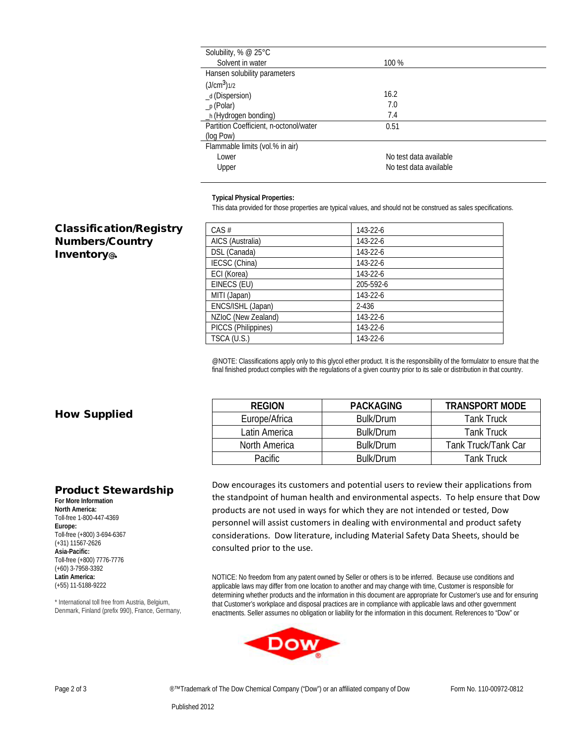| Solubility, % $@$ 25 $°C$              |                        |  |
|----------------------------------------|------------------------|--|
| Solvent in water                       | 100 %                  |  |
| Hansen solubility parameters           |                        |  |
| $(J/cm3)$ 1/2                          |                        |  |
| _d (Dispersion)                        | 16.2                   |  |
| $_p$ (Polar)                           | 7.0                    |  |
| _h (Hydrogen bonding)                  | 7.4                    |  |
| Partition Coefficient, n-octonol/water | 0.51                   |  |
| (log Pow)                              |                        |  |
| Flammable limits (vol.% in air)        |                        |  |
| Lower                                  | No test data available |  |
| Upper                                  | No test data available |  |
|                                        |                        |  |

## **Typical Physical Properties:**

This data provided for those properties are typical values, and should not be construed as sales specifications.

## Classification/Registry Numbers/Country Inventory@.

| $CAS$ #             | 143-22-6       |
|---------------------|----------------|
| AICS (Australia)    | 143-22-6       |
| DSL (Canada)        | 143-22-6       |
| IECSC (China)       | 143-22-6       |
| ECI (Korea)         | $143 - 22 - 6$ |
| EINECS (EU)         | 205-592-6      |
| MITI (Japan)        | 143-22-6       |
| ENCS/ISHL (Japan)   | $2 - 436$      |
| NZIoC (New Zealand) | $143 - 22 - 6$ |
| PICCS (Philippines) | 143-22-6       |
| TSCA (U.S.)         | 143-22-6       |

@NOTE: Classifications apply only to this glycol ether product. It is the responsibility of the formulator to ensure that the final finished product complies with the regulations of a given country prior to its sale or distribution in that country.

## How Supplied

| <b>REGION</b> | <b>PACKAGING</b> | <b>TRANSPORT MODE</b> |
|---------------|------------------|-----------------------|
| Europe/Africa | Bulk/Drum        | <b>Tank Truck</b>     |
| Latin America | Bulk/Drum        | <b>Tank Truck</b>     |
| North America | Bulk/Drum        | Tank Truck/Tank Car   |
| Pacific.      | Bulk/Drum        | <b>Tank Truck</b>     |

## Product Stewardship

**For More Information North America:** Toll-free 1-800-447-4369 **Europe:** Toll-free (+800) 3-694-6367 (+31) 11567-2626 **Asia-Pacific:** Toll-free (+800) 7776-7776 (+60) 3-7958-3392 **Latin America:** (+55) 11-5188-9222

\* International toll free from Austria, Belgium, Denmark, Finland (prefix 990), France, Germany,

Dow encourages its customers and potential users to review their applications from the standpoint of human health and environmental aspects. To help ensure that Dow products are not used in ways for which they are not intended or tested, Dow personnel will assist customers in dealing with environmental and product safety considerations. Dow literature, including Material Safety Data Sheets, should be consulted prior to the use.

NOTICE: No freedom from any patent owned by Seller or others is to be inferred. Because use conditions and applicable laws may differ from one location to another and may change with time, Customer is responsible for determining whether products and the information in this document are appropriate for Customer's use and for ensuring that Customer's workplace and disposal practices are in compliance with applicable laws and other government enactments. Seller assumes no obligation or liability for the information in this document. References to "Dow" or



Page 2 of 3 **■ ■**™Trademark of The Dow Chemical Company ("Dow") or an affiliated company of Dow Form No. 110-00972-0812